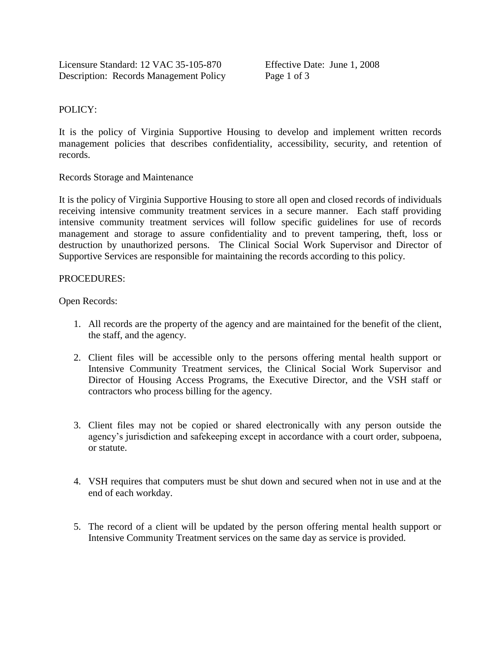## POLICY:

It is the policy of Virginia Supportive Housing to develop and implement written records management policies that describes confidentiality, accessibility, security, and retention of records.

Records Storage and Maintenance

It is the policy of Virginia Supportive Housing to store all open and closed records of individuals receiving intensive community treatment services in a secure manner. Each staff providing intensive community treatment services will follow specific guidelines for use of records management and storage to assure confidentiality and to prevent tampering, theft, loss or destruction by unauthorized persons. The Clinical Social Work Supervisor and Director of Supportive Services are responsible for maintaining the records according to this policy.

## PROCEDURES:

Open Records:

- 1. All records are the property of the agency and are maintained for the benefit of the client, the staff, and the agency.
- 2. Client files will be accessible only to the persons offering mental health support or Intensive Community Treatment services, the Clinical Social Work Supervisor and Director of Housing Access Programs, the Executive Director, and the VSH staff or contractors who process billing for the agency.
- 3. Client files may not be copied or shared electronically with any person outside the agency's jurisdiction and safekeeping except in accordance with a court order, subpoena, or statute.
- 4. VSH requires that computers must be shut down and secured when not in use and at the end of each workday.
- 5. The record of a client will be updated by the person offering mental health support or Intensive Community Treatment services on the same day as service is provided.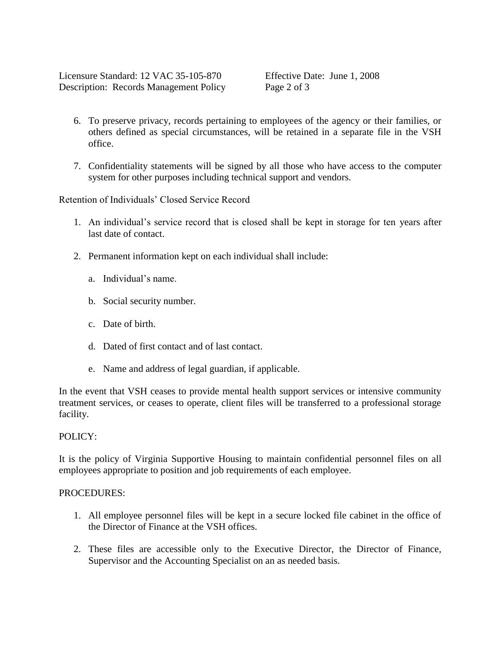Licensure Standard: 12 VAC 35-105-870 Effective Date: June 1, 2008 Description: Records Management Policy Page 2 of 3

- 6. To preserve privacy, records pertaining to employees of the agency or their families, or others defined as special circumstances, will be retained in a separate file in the VSH office.
- 7. Confidentiality statements will be signed by all those who have access to the computer system for other purposes including technical support and vendors.

Retention of Individuals' Closed Service Record

- 1. An individual's service record that is closed shall be kept in storage for ten years after last date of contact.
- 2. Permanent information kept on each individual shall include:
	- a. Individual's name.
	- b. Social security number.
	- c. Date of birth.
	- d. Dated of first contact and of last contact.
	- e. Name and address of legal guardian, if applicable.

In the event that VSH ceases to provide mental health support services or intensive community treatment services, or ceases to operate, client files will be transferred to a professional storage facility.

## POLICY:

It is the policy of Virginia Supportive Housing to maintain confidential personnel files on all employees appropriate to position and job requirements of each employee.

## PROCEDURES:

- 1. All employee personnel files will be kept in a secure locked file cabinet in the office of the Director of Finance at the VSH offices.
- 2. These files are accessible only to the Executive Director, the Director of Finance, Supervisor and the Accounting Specialist on an as needed basis.